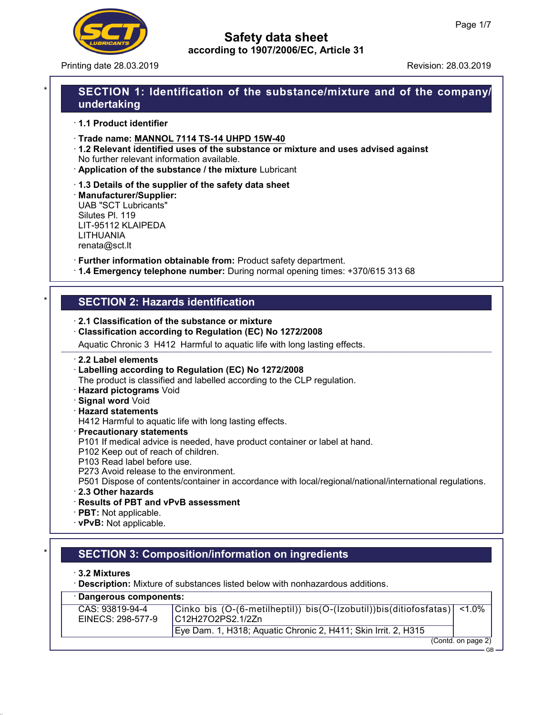

Printing date 28.03.2019 **Revision: 28.03.2019** Revision: 28.03.2019

# SECTION 1: Identification of the substance/mixture and of the company/ undertaking

· 1.1 Product identifier

· Trade name: MANNOL 7114 TS-14 UHPD 15W-40

· 1.2 Relevant identified uses of the substance or mixture and uses advised against No further relevant information available.

- · Application of the substance / the mixture Lubricant
- · 1.3 Details of the supplier of the safety data sheet

· Manufacturer/Supplier: UAB "SCT Lubricants" Silutes Pl. 119 LIT-95112 KLAIPEDA LITHUANIA renata@sct.lt

· Further information obtainable from: Product safety department.

· 1.4 Emergency telephone number: During normal opening times: +370/615 313 68

# **SECTION 2: Hazards identification**

#### · 2.1 Classification of the substance or mixture

· Classification according to Regulation (EC) No 1272/2008

Aquatic Chronic 3 H412 Harmful to aquatic life with long lasting effects.

#### · 2.2 Label elements

· Labelling according to Regulation (EC) No 1272/2008

The product is classified and labelled according to the CLP regulation.

- · Hazard pictograms Void
- · Signal word Void
- · Hazard statements

H412 Harmful to aquatic life with long lasting effects.

- · Precautionary statements
- P101 If medical advice is needed, have product container or label at hand.
- P102 Keep out of reach of children.
- P103 Read label before use.
- P273 Avoid release to the environment.

P501 Dispose of contents/container in accordance with local/regional/national/international regulations.

- · 2.3 Other hazards
- · Results of PBT and vPvB assessment
- · PBT: Not applicable.
- · vPvB: Not applicable.

# **SECTION 3: Composition/information on ingredients**

· 3.2 Mixtures

· Description: Mixture of substances listed below with nonhazardous additions.

| · Dangerous components:              |                                                                                                |                    |  |  |
|--------------------------------------|------------------------------------------------------------------------------------------------|--------------------|--|--|
| CAS: 93819-94-4<br>EINECS: 298-577-9 | Cinko bis (O-(6-metilheptil)) bis(O-(Izobutil))bis(ditiofosfatas)  <1.0%<br> C12H27O2PS2.1/2Zn |                    |  |  |
|                                      | Eye Dam. 1, H318; Aquatic Chronic 2, H411; Skin Irrit. 2, H315                                 |                    |  |  |
|                                      |                                                                                                | (Contd. on page 2) |  |  |

GB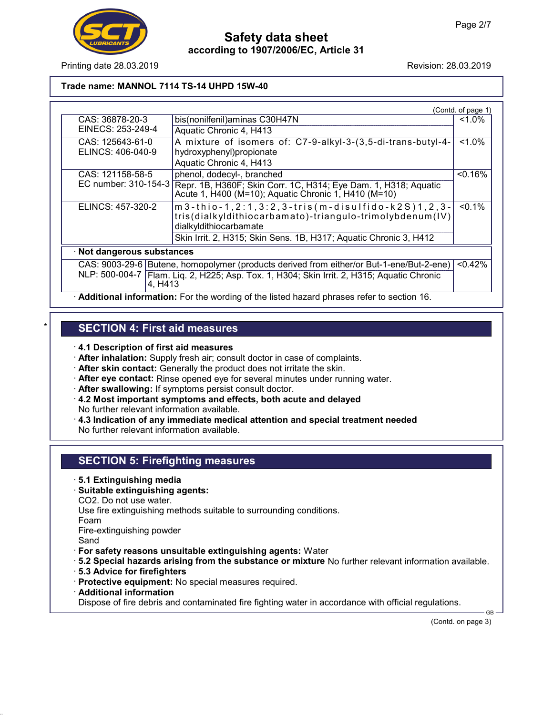

Printing date 28.03.2019 **Revision: 28.03.2019** Revision: 28.03.2019

### Trade name: MANNOL 7114 TS-14 UHPD 15W-40

|                            |                                                                                                                                          | (Contd. of page 1) |
|----------------------------|------------------------------------------------------------------------------------------------------------------------------------------|--------------------|
| CAS: 36878-20-3            | bis(nonilfenil) aminas C30H47N                                                                                                           | $1.0\%$            |
| EINECS: 253-249-4          | Aquatic Chronic 4, H413                                                                                                                  |                    |
| CAS: 125643-61-0           | A mixture of isomers of: C7-9-alkyl-3-(3,5-di-trans-butyl-4-                                                                             | $1.0\%$            |
| ELINCS: 406-040-9          | hydroxyphenyl)propionate                                                                                                                 |                    |
|                            | Aquatic Chronic 4, H413                                                                                                                  |                    |
| CAS: 121158-58-5           | phenol, dodecyl-, branched                                                                                                               | < 0.16%            |
| EC number: 310-154-3       | Repr. 1B, H360F; Skin Corr. 1C, H314; Eye Dam. 1, H318; Aquatic<br>Acute 1, H400 (M=10); Aquatic Chronic 1, H410 (M=10)                  |                    |
| ELINCS: 457-320-2          | $m3$ -thio-1,2:1,3:2,3-tris(m-disulfido-k2S)1,2,3-<br>tris(dialkyldithiocarbamato)-triangulo-trimolybdenum(IV)<br>dialkyldithiocarbamate | $< 0.1\%$          |
|                            | Skin Irrit. 2, H315; Skin Sens. 1B, H317; Aquatic Chronic 3, H412                                                                        |                    |
| · Not dangerous substances |                                                                                                                                          |                    |
|                            | CAS: 9003-29-6 Butene, homopolymer (products derived from either/or But-1-ene/But-2-ene)                                                 | < 0.42%            |
| 4, H413                    | NLP: 500-004-7   Flam. Liq. 2, H225; Asp. Tox. 1, H304; Skin Irrit. 2, H315; Aquatic Chronic                                             |                    |

· Additional information: For the wording of the listed hazard phrases refer to section 16.

# **SECTION 4: First aid measures**

· 4.1 Description of first aid measures

- · After inhalation: Supply fresh air; consult doctor in case of complaints.
- · After skin contact: Generally the product does not irritate the skin.
- · After eye contact: Rinse opened eye for several minutes under running water.
- · After swallowing: If symptoms persist consult doctor.
- · 4.2 Most important symptoms and effects, both acute and delayed
- No further relevant information available.
- $\cdot$  4.3 Indication of any immediate medical attention and special treatment needed No further relevant information available.

## SECTION 5: Firefighting measures

- · 5.1 Extinguishing media
- · Suitable extinguishing agents:
- CO2. Do not use water.

Use fire extinguishing methods suitable to surrounding conditions.

Foam

Fire-extinguishing powder

Sand

- · For safety reasons unsuitable extinguishing agents: Water
- · 5.2 Special hazards arising from the substance or mixture No further relevant information available.
- · 5.3 Advice for firefighters
- · Protective equipment: No special measures required.
- · Additional information

Dispose of fire debris and contaminated fire fighting water in accordance with official regulations.

(Contd. on page 3)

GB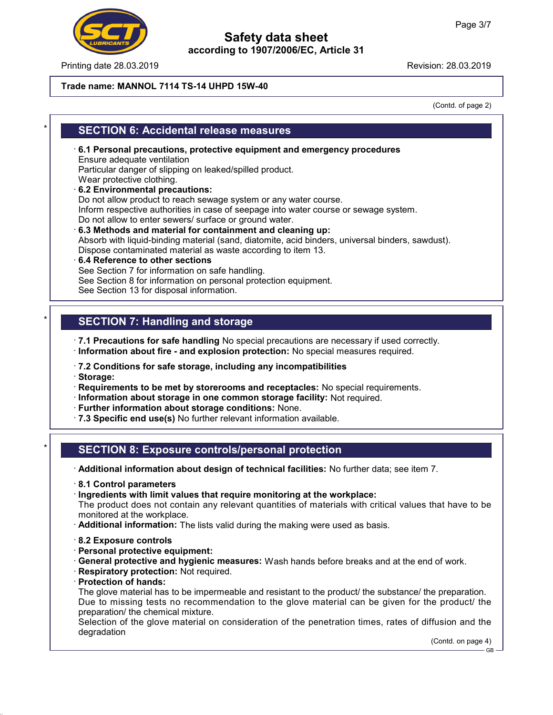

Printing date 28.03.2019 **Revision: 28.03.2019** Revision: 28.03.2019

### Trade name: MANNOL 7114 TS-14 UHPD 15W-40

(Contd. of page 2)

# **SECTION 6: Accidental release measures**

- · 6.1 Personal precautions, protective equipment and emergency procedures Ensure adequate ventilation Particular danger of slipping on leaked/spilled product. Wear protective clothing. · 6.2 Environmental precautions:
- Do not allow product to reach sewage system or any water course. Inform respective authorities in case of seepage into water course or sewage system. Do not allow to enter sewers/ surface or ground water.
- · 6.3 Methods and material for containment and cleaning up: Absorb with liquid-binding material (sand, diatomite, acid binders, universal binders, sawdust). Dispose contaminated material as waste according to item 13.
- · 6.4 Reference to other sections See Section 7 for information on safe handling. See Section 8 for information on personal protection equipment. See Section 13 for disposal information.

# **SECTION 7: Handling and storage**

· 7.1 Precautions for safe handling No special precautions are necessary if used correctly.

- · Information about fire and explosion protection: No special measures required.
- · 7.2 Conditions for safe storage, including any incompatibilities
- · Storage:

· Requirements to be met by storerooms and receptacles: No special requirements.

- · Information about storage in one common storage facility: Not required.
- · Further information about storage conditions: None.
- · 7.3 Specific end use(s) No further relevant information available.

# SECTION 8: Exposure controls/personal protection

· Additional information about design of technical facilities: No further data; see item 7.

- · 8.1 Control parameters
- · Ingredients with limit values that require monitoring at the workplace:

The product does not contain any relevant quantities of materials with critical values that have to be monitored at the workplace.

- · Additional information: The lists valid during the making were used as basis.
- · 8.2 Exposure controls
- · Personal protective equipment:
- · General protective and hygienic measures: Wash hands before breaks and at the end of work.
- · Respiratory protection: Not required.
- · Protection of hands:

The glove material has to be impermeable and resistant to the product/ the substance/ the preparation. Due to missing tests no recommendation to the glove material can be given for the product/ the preparation/ the chemical mixture.

Selection of the glove material on consideration of the penetration times, rates of diffusion and the degradation

(Contd. on page 4) GB-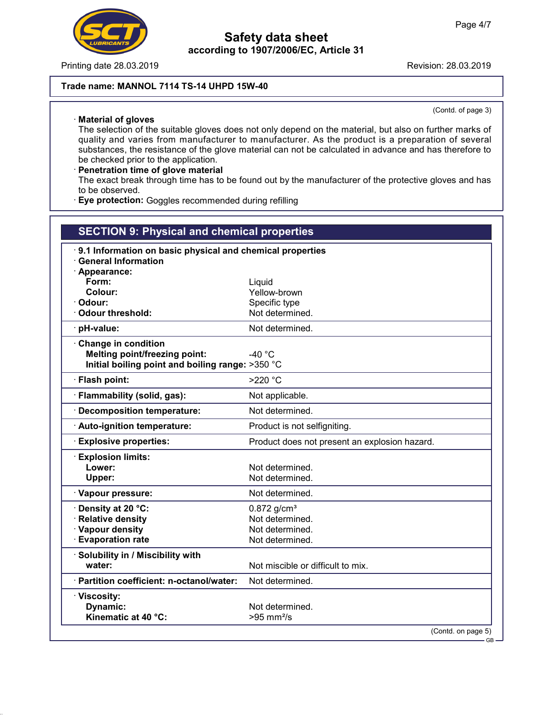

Printing date 28.03.2019 **Revision: 28.03.2019** Revision: 28.03.2019

### Trade name: MANNOL 7114 TS-14 UHPD 15W-40

· Material of gloves

(Contd. of page 3)

The selection of the suitable gloves does not only depend on the material, but also on further marks of quality and varies from manufacturer to manufacturer. As the product is a preparation of several substances, the resistance of the glove material can not be calculated in advance and has therefore to be checked prior to the application.

· Penetration time of glove material The exact break through time has to be found out by the manufacturer of the protective gloves and has to be observed.

· Eye protection: Goggles recommended during refilling

| <b>SECTION 9: Physical and chemical properties</b>        |                                               |  |
|-----------------------------------------------------------|-----------------------------------------------|--|
| 9.1 Information on basic physical and chemical properties |                                               |  |
| <b>General Information</b>                                |                                               |  |
| · Appearance:                                             |                                               |  |
| Form:                                                     | Liquid                                        |  |
| Colour:                                                   | Yellow-brown                                  |  |
| Odour:                                                    | Specific type                                 |  |
| <b>Odour threshold:</b>                                   | Not determined.                               |  |
| · pH-value:                                               | Not determined.                               |  |
| <b>Change in condition</b>                                |                                               |  |
| <b>Melting point/freezing point:</b>                      | $-40 °C$                                      |  |
| Initial boiling point and boiling range: >350 °C          |                                               |  |
| · Flash point:                                            | >220 °C                                       |  |
| · Flammability (solid, gas):                              | Not applicable.                               |  |
| <b>Decomposition temperature:</b>                         | Not determined.                               |  |
| · Auto-ignition temperature:                              | Product is not selfigniting.                  |  |
| <b>Explosive properties:</b>                              | Product does not present an explosion hazard. |  |
| <b>Explosion limits:</b>                                  |                                               |  |
| Lower:                                                    | Not determined.                               |  |
| Upper:                                                    | Not determined.                               |  |
| · Vapour pressure:                                        | Not determined.                               |  |
| Density at 20 °C:                                         | $0.872$ g/cm <sup>3</sup>                     |  |
| <b>Relative density</b>                                   | Not determined.                               |  |
| · Vapour density                                          | Not determined.                               |  |
| <b>Evaporation rate</b>                                   | Not determined.                               |  |
| Solubility in / Miscibility with                          |                                               |  |
| water:                                                    | Not miscible or difficult to mix.             |  |
| · Partition coefficient: n-octanol/water:                 | Not determined.                               |  |
| · Viscosity:                                              |                                               |  |
| Dynamic:                                                  | Not determined.                               |  |
| Kinematic at 40 °C:                                       | $>95$ mm <sup>2</sup> /s                      |  |
|                                                           | (Contd. on page 5)                            |  |
|                                                           | $GR -$                                        |  |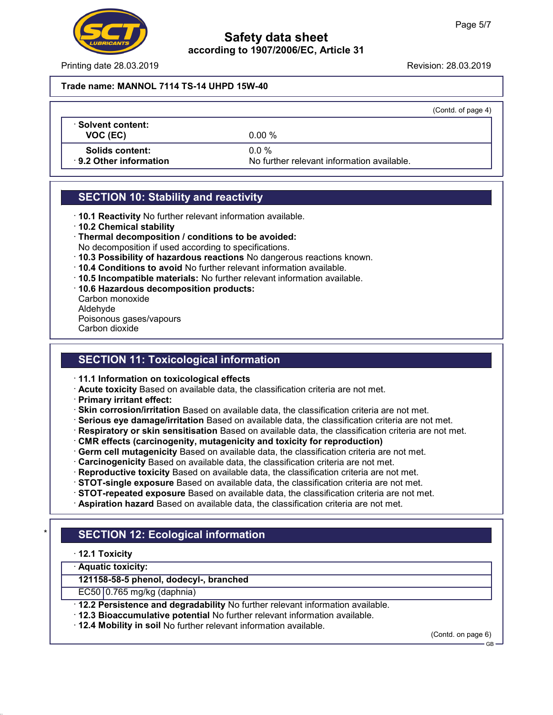

Printing date 28.03.2019 **Printing date 28.03.2019** 

#### Trade name: MANNOL 7114 TS-14 UHPD 15W-40

|                         |                                            | (Contd. of page 4) |
|-------------------------|--------------------------------------------|--------------------|
| Solvent content: \      |                                            |                    |
| VOC (EC)                | $0.00 \%$                                  |                    |
| Solids content:         | $0.0\%$                                    |                    |
| ⋅ 9.2 Other information | No further relevant information available. |                    |
|                         |                                            |                    |

## SECTION 10: Stability and reactivity

- · 10.1 Reactivity No further relevant information available.
- · 10.2 Chemical stability
- · Thermal decomposition / conditions to be avoided:
- No decomposition if used according to specifications.
- · 10.3 Possibility of hazardous reactions No dangerous reactions known.
- · 10.4 Conditions to avoid No further relevant information available.
- · 10.5 Incompatible materials: No further relevant information available.
- · 10.6 Hazardous decomposition products:
- Carbon monoxide Aldehyde Poisonous gases/vapours
- Carbon dioxide

# SECTION 11: Toxicological information

- · 11.1 Information on toxicological effects
- · Acute toxicity Based on available data, the classification criteria are not met.
- · Primary irritant effect:
- · Skin corrosion/irritation Based on available data, the classification criteria are not met.
- · Serious eye damage/irritation Based on available data, the classification criteria are not met.
- · Respiratory or skin sensitisation Based on available data, the classification criteria are not met.
- · CMR effects (carcinogenity, mutagenicity and toxicity for reproduction)
- · Germ cell mutagenicity Based on available data, the classification criteria are not met.
- · Carcinogenicity Based on available data, the classification criteria are not met.
- · Reproductive toxicity Based on available data, the classification criteria are not met.
- · STOT-single exposure Based on available data, the classification criteria are not met.
- · STOT-repeated exposure Based on available data, the classification criteria are not met.
- · Aspiration hazard Based on available data, the classification criteria are not met.

# **SECTION 12: Ecological information**

- · 12.1 Toxicity
- · Aquatic toxicity:

121158-58-5 phenol, dodecyl-, branched

 $EC50|0.765$  mg/kg (daphnia)

- · 12.2 Persistence and degradability No further relevant information available.
- · 12.3 Bioaccumulative potential No further relevant information available.
- · 12.4 Mobility in soil No further relevant information available.

(Contd. on page 6)

GB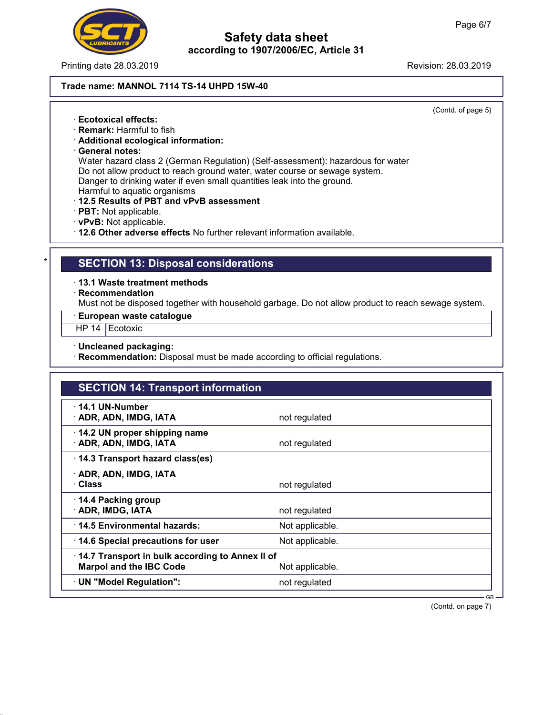

Printing date 28.03.2019 **Revision: 28.03.2019** Revision: 28.03.2019

### Trade name: MANNOL 7114 TS-14 UHPD 15W-40

(Contd. of page 5)

- · Ecotoxical effects:
- · Remark: Harmful to fish
- · Additional ecological information:
- · General notes:

Water hazard class 2 (German Regulation) (Self-assessment): hazardous for water Do not allow product to reach ground water, water course or sewage system. Danger to drinking water if even small quantities leak into the ground. Harmful to aquatic organisms

- 
- · 12.5 Results of PBT and vPvB assessment
- · PBT: Not applicable.
- · vPvB: Not applicable.
- · 12.6 Other adverse effects No further relevant information available.

## **SECTION 13: Disposal considerations**

- · 13.1 Waste treatment methods
- · Recommendation

Must not be disposed together with household garbage. Do not allow product to reach sewage system.

#### · European waste catalogue

- HP 14 Ecotoxic
- · Uncleaned packaging:
- · Recommendation: Disposal must be made according to official regulations.

| <b>SECTION 14: Transport information</b>                                          |                 |  |
|-----------------------------------------------------------------------------------|-----------------|--|
| · 14.1 UN-Number<br>· ADR, ADN, IMDG, IATA                                        | not regulated   |  |
| 14.2 UN proper shipping name<br>· ADR, ADN, IMDG, IATA                            | not regulated   |  |
| 14.3 Transport hazard class(es)                                                   |                 |  |
| · ADR, ADN, IMDG, IATA<br>· Class                                                 | not regulated   |  |
| 14.4 Packing group<br>· ADR, IMDG, IATA                                           | not regulated   |  |
| ⋅14.5 Environmental hazards:                                                      | Not applicable. |  |
| 14.6 Special precautions for user                                                 | Not applicable. |  |
| 14.7 Transport in bulk according to Annex II of<br><b>Marpol and the IBC Code</b> | Not applicable. |  |
| · UN "Model Regulation":                                                          | not regulated   |  |

(Contd. on page 7)

GB